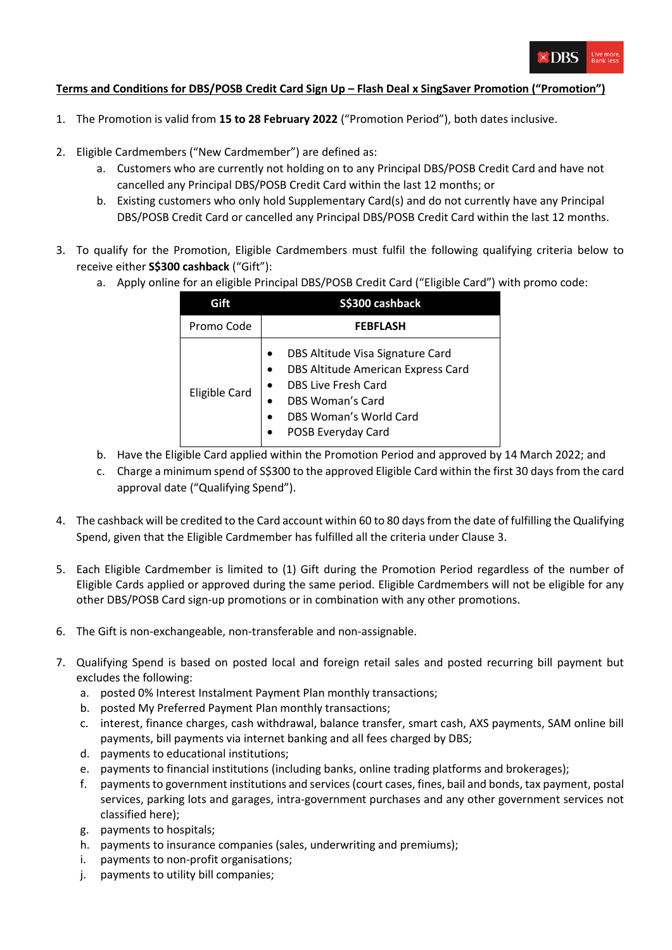

## **Terms and Conditions for DBS/POSB Credit Card Sign Up – Flash Deal x SingSaver Promotion ("Promotion")**

- 1. The Promotion is valid from **15 to 28 February 2022** ("Promotion Period"), both dates inclusive.
- 2. Eligible Cardmembers ("New Cardmember") are defined as:
	- a. Customers who are currently not holding on to any Principal DBS/POSB Credit Card and have not cancelled any Principal DBS/POSB Credit Card within the last 12 months; or
	- b. Existing customers who only hold Supplementary Card(s) and do not currently have any Principal DBS/POSB Credit Card or cancelled any Principal DBS/POSB Credit Card within the last 12 months.
- 3. To qualify for the Promotion, Eligible Cardmembers must fulfil the following qualifying criteria below to receive either **S\$300 cashback** ("Gift"):
	- a. Apply online for an eligible Principal DBS/POSB Credit Card ("Eligible Card") with promo code:

|                      | S\$300 cashback                                                                                                                                                          |
|----------------------|--------------------------------------------------------------------------------------------------------------------------------------------------------------------------|
| Promo Code           | <b>FEBFLASH</b>                                                                                                                                                          |
| <b>Eligible Card</b> | DBS Altitude Visa Signature Card<br>DBS Altitude American Express Card<br><b>DBS Live Fresh Card</b><br>DBS Woman's Card<br>DBS Woman's World Card<br>POSB Everyday Card |

- b. Have the Eligible Card applied within the Promotion Period and approved by 14 March 2022; and
- c. Charge a minimum spend of S\$300 to the approved Eligible Card within the first 30 days from the card approval date ("Qualifying Spend").
- 4. The cashback will be credited to the Card account within 60 to 80 days from the date of fulfilling the Qualifying Spend, given that the Eligible Cardmember has fulfilled all the criteria under Clause 3.
- 5. Each Eligible Cardmember is limited to (1) Gift during the Promotion Period regardless of the number of Eligible Cards applied or approved during the same period. Eligible Cardmembers will not be eligible for any other DBS/POSB Card sign-up promotions or in combination with any other promotions.
- 6. The Gift is non-exchangeable, non-transferable and non-assignable.
- 7. Qualifying Spend is based on posted local and foreign retail sales and posted recurring bill payment but excludes the following:
	- a. posted 0% Interest Instalment Payment Plan monthly transactions;
	- b. posted My Preferred Payment Plan monthly transactions;
	- c. interest, finance charges, cash withdrawal, balance transfer, smart cash, AXS payments, SAM online bill payments, bill payments via internet banking and all fees charged by DBS;
	- d. payments to educational institutions;
	- e. payments to financial institutions (including banks, online trading platforms and brokerages);
	- f. payments to government institutions and services (court cases, fines, bail and bonds, tax payment, postal services, parking lots and garages, intra-government purchases and any other government services not classified here);
	- g. payments to hospitals;
	- h. payments to insurance companies (sales, underwriting and premiums);
	- i. payments to non-profit organisations;
	- j. payments to utility bill companies;